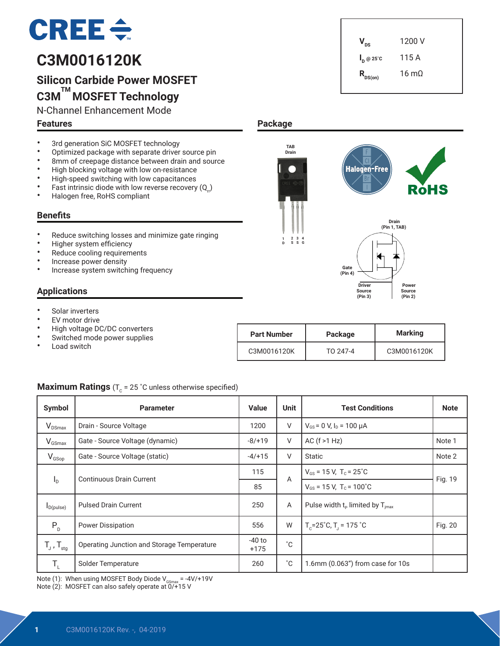# $CREE \div$

# **C3M0016120K**

# **Silicon Carbide Power MOSFET C3M TM MOSFET Technology**

N-Channel Enhancement Mode

### **Features**

- 3rd generation SiC MOSFET technology<br>• Optimized pockage with concrete driver
- Optimized package with separate driver source pin<br>• 8mm of creenage distance between drain and sour
- 8mm of creepage distance between drain and source<br>• High blocking voltage with low op-resistance
- High blocking voltage with low on-resistance<br>• High apood quitabing with low oppositences
- High-speed switching with low capacitances<br>• Fast intrinsic diade with low reverse resevent
- Fast intrinsic diode with low reverse recovery  $(Q_n)$ <br>• Halogen free BoHS complient
- Halogen free, RoHS compliant

### **Benefits**

- Reduce switching losses and minimize gate ringing
- Higher system efficiency
- Reduce cooling requirements
- Increase power density
- Increase system switching frequency

### **Applications**

- Solar inverters
- **EV** motor drive
- High voltage DC/DC converters
- Switched mode power supplies
- Load switch

| <b>Part Number</b> | Package  | <b>Marking</b> |  |  |
|--------------------|----------|----------------|--|--|
| C3M0016120K        | TO 247-4 | C3M0016120K    |  |  |

### **Maximum Ratings** ( $T_c$  = 25 °C unless otherwise specified)

| Symbol                     | <b>Parameter</b>                           | <b>Value</b>       | <b>Unit</b>  | <b>Test Conditions</b>                                  | <b>Note</b> |  |
|----------------------------|--------------------------------------------|--------------------|--------------|---------------------------------------------------------|-------------|--|
| $V_{DSmax}$                | Drain - Source Voltage                     | 1200               | V            | $V_{GS}$ = 0 V, $I_D$ = 100 µA                          |             |  |
| $V_{GSmax}$                | Gate - Source Voltage (dynamic)            | $-8/+19$           | V            | AC $(f > 1 Hz)$                                         | Note 1      |  |
| $V_{GSop}$                 | Gate - Source Voltage (static)             |                    | V            | Static                                                  | Note 2      |  |
|                            | Continuous Drain Current                   | 115                | A            | $V_{GS}$ = 15 V, T <sub>c</sub> = 25 <sup>°</sup> C     | Fig. 19     |  |
| $I_{\rm D}$                |                                            | 85                 |              | $V_{GS}$ = 15 V, T <sub>c</sub> = 100°C                 |             |  |
| $I_{D(pulse)}$             | <b>Pulsed Drain Current</b>                |                    | A            | Pulse width $t_p$ limited by $T_{\text{imax}}$          |             |  |
| $P_{D}$                    | <b>Power Dissipation</b>                   | 556                | W            | $T_c = 25^{\circ}$ C, T <sub>1</sub> = 175 $^{\circ}$ C | Fig. 20     |  |
| $T_{J}$ , $T_{\text{stg}}$ | Operating Junction and Storage Temperature | $-40$ to<br>$+175$ | °С           |                                                         |             |  |
| T,                         | Solder Temperature                         | 260                | $^{\circ}$ C | 1.6mm (0.063") from case for 10s                        |             |  |

Note (1): When using MOSFET Body Diode V<sub>csmax</sub> = -4V/+19V<br>Note (2): MOSFET can also safely operate at 0/+15 V

### **1** C3M0016120K Rev. -, 04-2019

| $V_{DS}$                         | 1200 V               |
|----------------------------------|----------------------|
| $\mathsf{I}_{\mathsf{D}}$ @ 25°C | 115 A                |
| $R_{DS(on)}$                     | $16 \text{ m}\Omega$ |

### **Package**

**1 D** 

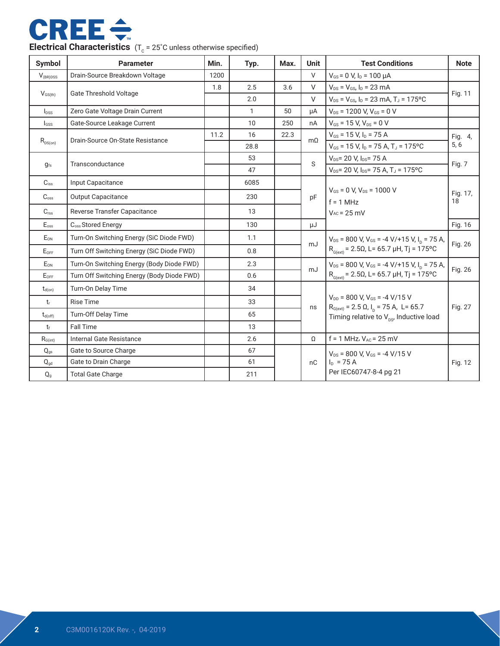

| Symbol               | <b>Parameter</b>                           | Min. | Typ.                                   | Max. | <b>Unit</b>                        | <b>Test Conditions</b>                                                                             | <b>Note</b>    |  |
|----------------------|--------------------------------------------|------|----------------------------------------|------|------------------------------------|----------------------------------------------------------------------------------------------------|----------------|--|
| $V_{\text{(BR)DSS}}$ | Drain-Source Breakdown Voltage             | 1200 |                                        |      | V                                  | $V_{GS}$ = 0 V, $I_D$ = 100 $\mu$ A                                                                |                |  |
|                      | <b>Gate Threshold Voltage</b>              | 1.8  | 2.5                                    | 3.6  | $\vee$                             | $V_{DS} = V_{GS}$ , $I_D = 23$ mA                                                                  |                |  |
| $V_{GS(th)}$         |                                            |      | 2.0                                    |      | $\vee$                             | $V_{DS} = V_{GS}$ , $I_D = 23$ mA, $T_J = 175$ °C                                                  | Fig. 11        |  |
| $I_{DSS}$            | Zero Gate Voltage Drain Current            |      | 1                                      | 50   | μA                                 | $V_{DS}$ = 1200 V, $V_{GS}$ = 0 V                                                                  |                |  |
| $I_{GSS}$            | Gate-Source Leakage Current                |      | 10                                     | 250  | nA                                 | $V_{GS}$ = 15 V, $V_{DS}$ = 0 V                                                                    |                |  |
|                      | Drain-Source On-State Resistance           | 11.2 | 16                                     | 22.3 | $m\Omega$                          | $V_{GS}$ = 15 V, $I_D$ = 75 A                                                                      | Fig. 4,        |  |
| $R_{DS(on)}$         |                                            |      | 28.8                                   |      |                                    | $V_{GS}$ = 15 V, I <sub>D</sub> = 75 A, T <sub>J</sub> = 175°C                                     | 5,6            |  |
|                      | Transconductance                           |      | 53                                     |      | S                                  | $V_{DS}$ = 20 V, $I_{DS}$ = 75 A                                                                   |                |  |
| $g_{fs}$             |                                            |      | 47                                     |      |                                    | $V_{\text{DS}}$ = 20 V, $I_{\text{DS}}$ = 75 A, T <sub>J</sub> = 175 °C                            | Fig. 7         |  |
| $C_{iss}$            | Input Capacitance                          |      | 6085                                   |      |                                    |                                                                                                    |                |  |
| C <sub>oss</sub>     | <b>Output Capacitance</b>                  |      | 230                                    |      | pF                                 | $V_{GS}$ = 0 V, $V_{DS}$ = 1000 V<br>$f = 1$ MHz                                                   | Fig. 17,<br>18 |  |
| C <sub>rss</sub>     | Reverse Transfer Capacitance               |      | 13                                     |      |                                    | $V_{AC}$ = 25 mV                                                                                   |                |  |
| $E_{\text{oss}}$     | C <sub>oss</sub> Stored Energy             |      | 130                                    |      | μJ                                 |                                                                                                    | Fig. 16        |  |
| EON                  | Turn-On Switching Energy (SiC Diode FWD)   |      | 1.1                                    |      | mJ                                 | $V_{DS}$ = 800 V, V <sub>GS</sub> = -4 V/+15 V, I <sub>D</sub> = 75 A,                             | Fig. 26        |  |
| EOFF                 | Turn Off Switching Energy (SiC Diode FWD)  |      | 0.8                                    |      |                                    | $R_{G(\text{ext})} = 2.5\Omega$ , L= 65.7 µH, Tj = 175°C                                           |                |  |
| E <sub>ON</sub>      | Turn-On Switching Energy (Body Diode FWD)  |      | 2.3                                    |      | mJ                                 | $V_{DS}$ = 800 V, V <sub>GS</sub> = -4 V/+15 V, I <sub>n</sub> = 75 A,                             |                |  |
| EOFF                 | Turn Off Switching Energy (Body Diode FWD) |      | 0.6                                    |      |                                    | $\mathsf{R}_{_{\mathsf{G}(\mathsf{ext})}}$ = 2.50, L= 65.7 µH, Tj = 175°C                          | Fig. 26        |  |
| $t_{d(on)}$          | Turn-On Delay Time                         |      | 34                                     |      |                                    |                                                                                                    |                |  |
| $t_{r}$              | <b>Rise Time</b>                           |      | 33                                     |      |                                    | $V_{\text{DD}}$ = 800 V. $V_{\text{GS}}$ = -4 V/15 V                                               |                |  |
| $t_{d(off)}$         | <b>Turn-Off Delay Time</b>                 |      | 65                                     |      | ns                                 | $R_{G(ext)} = 2.5$ Ω, $I_p = 75$ A, L= 65.7<br>Timing relative to $V_{\text{ns}}$ , Inductive load | Fig. 27        |  |
| $t_{\rm f}$          | <b>Fall Time</b>                           |      | 13                                     |      |                                    |                                                                                                    |                |  |
| $R_{\text{G(int)}}$  | Internal Gate Resistance                   |      | 2.6                                    |      | $f = 1$ MHz, $V_{AC} = 25$ mV<br>Ω |                                                                                                    |                |  |
| $Q_{\text{as}}$      | 67<br>Gate to Source Charge                |      | $V_{DS}$ = 800 V, $V_{GS}$ = -4 V/15 V |      |                                    |                                                                                                    |                |  |
| $Q_{gd}$             | Gate to Drain Charge                       |      | 61                                     |      | nC                                 | $I_{D}$ = 75 A                                                                                     | Fig. 12        |  |
| $Q_{g}$              | <b>Total Gate Charge</b>                   |      | 211                                    |      |                                    | Per IEC60747-8-4 pg 21                                                                             |                |  |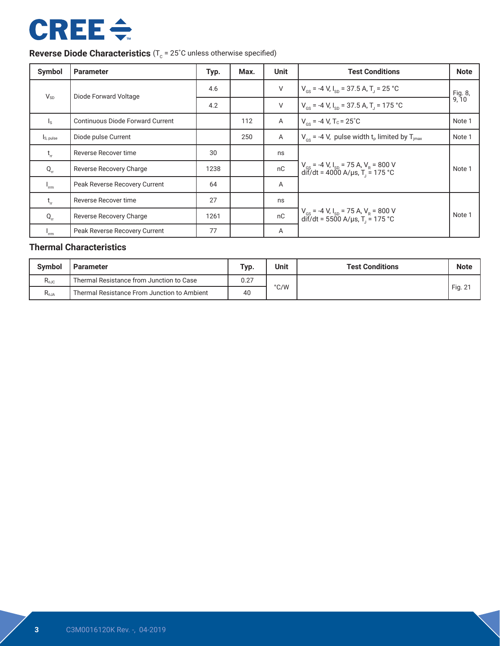# **CREE ÷**

### **Reverse Diode Characteristics** (T<sub>c</sub> = 25°C unless otherwise specified)

| Symbol                                        | <b>Parameter</b>                        | Typ. | Max. | <b>Unit</b>    | <b>Test Conditions</b>                                                                                         | <b>Note</b>      |
|-----------------------------------------------|-----------------------------------------|------|------|----------------|----------------------------------------------------------------------------------------------------------------|------------------|
| $V_{SD}$                                      | Diode Forward Voltage                   | 4.6  |      | V              | $V_{\text{gs}}$ = -4 V, I <sub>sp</sub> = 37.5 A, T <sub>1</sub> = 25 °C                                       | Fig. 8,<br>9, 10 |
|                                               |                                         | 4.2  |      | $\vee$         | $V_{GS}$ = -4 V, $I_{SD}$ = 37.5 A, T <sub>J</sub> = 175 °C                                                    |                  |
| $\mathsf{I}_\mathsf{S}$                       | <b>Continuous Diode Forward Current</b> |      | 112  | $\overline{A}$ | $V_{cs}$ = -4 V, T <sub>c</sub> = 25 <sup>°</sup> C                                                            | Note 1           |
| Is, pulse                                     | Diode pulse Current                     |      | 250  | A              | $V_{\text{cs}}$ = -4 V, pulse width t <sub>p</sub> limited by T <sub>imax</sub>                                | Note 1           |
| $t_{\rm r}$                                   | Reverse Recover time                    | 30   |      | ns             |                                                                                                                |                  |
| $Q_{rr}$                                      | Reverse Recovery Charge                 | 1238 |      | nC             | $V_{gs}$ = -4 V, I <sub>sp</sub> = 75 A, V <sub>R</sub> = 800 V<br>dif/dt = 4000 A/µs, T <sub>J</sub> = 175 °C | Note 1           |
| $I_{\rm rm}$                                  | Peak Reverse Recovery Current           | 64   |      | A              |                                                                                                                |                  |
| $t_{\rm r}$                                   | Reverse Recover time                    | 27   |      | ns             |                                                                                                                |                  |
| $Q_{rr}$                                      | Reverse Recovery Charge                 | 1261 |      | nC             | $V_{gs}$ = -4 V, I <sub>sp</sub> = 75 A, V <sub>R</sub> = 800 V<br>dif/dt = 5500 A/µs, T <sub>J</sub> = 175 °C | Note 1           |
| $\mathsf{r}_{\mathsf{r}\mathsf{r}\mathsf{m}}$ | Peak Reverse Recovery Current           | 77   |      | A              |                                                                                                                |                  |

### **Thermal Characteristics**

| <b>Symbol</b><br>Parameter |                                             | Typ. | Unit | <b>Test Conditions</b> | <b>Note</b>      |
|----------------------------|---------------------------------------------|------|------|------------------------|------------------|
| $R_{0JC}$                  | Thermal Resistance from Junction to Case    | 0.27 |      |                        |                  |
| $R_{\theta JA}$            | Thermal Resistance From Junction to Ambient | 40   | °C/W |                        | Fig. $2^{\circ}$ |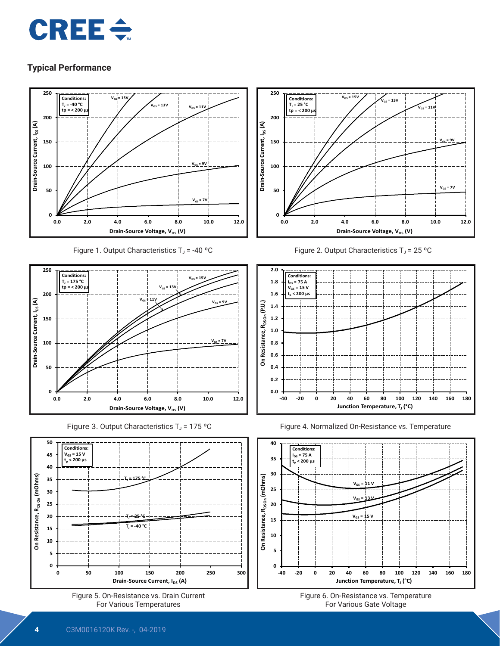# $CRE \div$

### **Typical Performance**



Figure 1. Output Characteristics  $T_J$  = -40 °C











Figure 2. Output Characteristics  $T_J$  = 25 °C







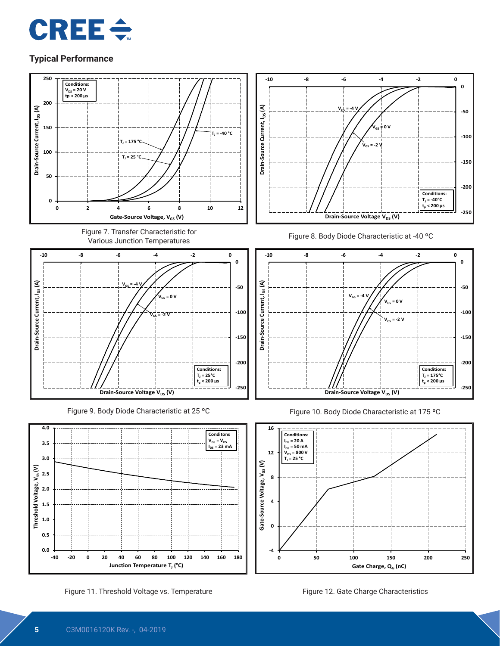



Figure 11. Threshold Voltage vs. Temperature Figure 12. Gate Charge Characteristics

**Junction Temperature T<sub>J</sub>** (°C)



Gate Charge, Q<sub>G</sub> (nC)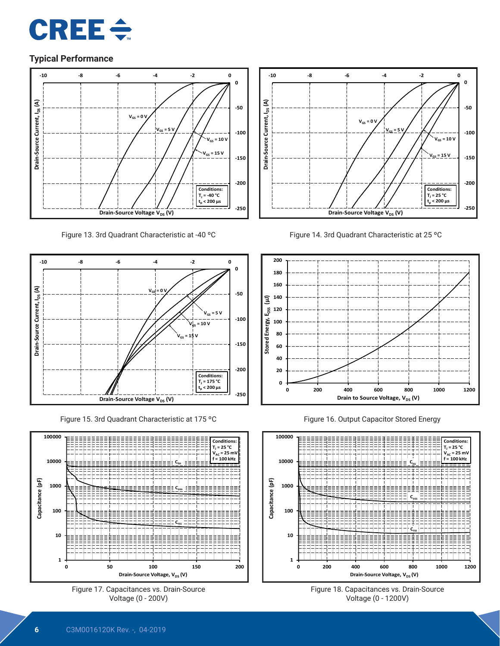



Figure 13. 3rd Quadrant Characteristic at -40 ºC



Figure 15. 3rd Quadrant Characteristic at 175 ºC







Figure 14. 3rd Quadrant Characteristic at 25 ºC



Figure 16. Output Capacitor Stored Energy



Figure 18. Capacitances vs. Drain-Source Voltage (0 - 1200V)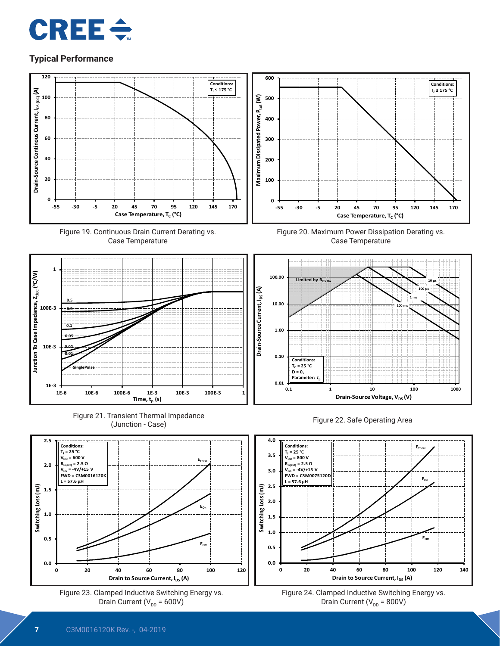



Drain Current (V $_{\text{DD}}$  = 800V)

Drain Current ( $V_{DD} = 600V$ )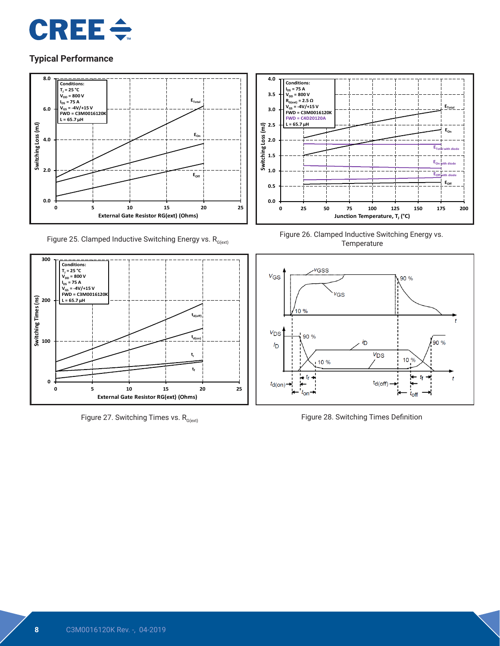



Figure 25. Clamped Inductive Switching Energy vs.  $R_{G(\text{ext})}$ 



Figure 27. Switching Times vs.  $R_{G(ext)}$ 



Figure 26. Clamped Inductive Switching Energy vs. **Temperature** 



Figure 28. Switching Times Definition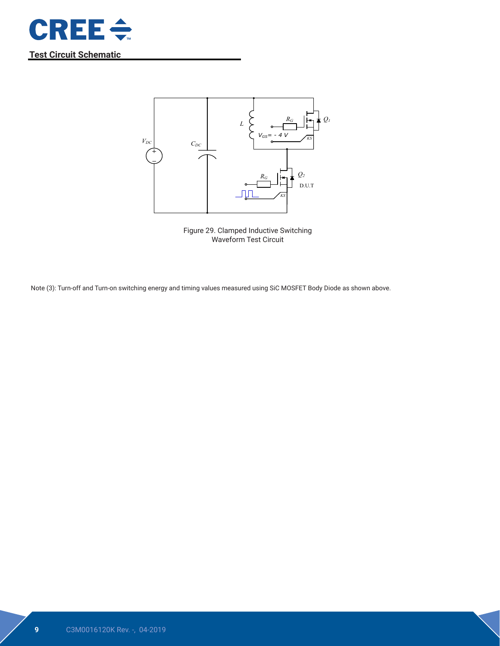

**Test Circuit Schematic**



Figure 29. Clamped Inductive Switching Waveform Test Circuit

Note (3): Turn-off and Turn-on switching energy and timing values measured using SiC MOSFET Body Diode as shown above.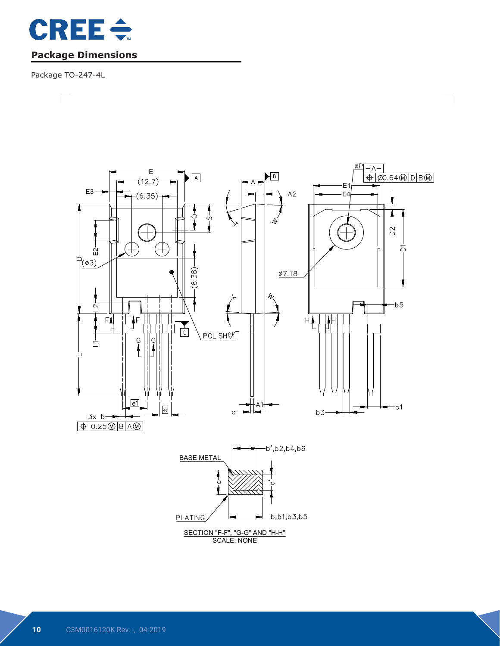

### **Package Dimensions**

Package TO-247-4L

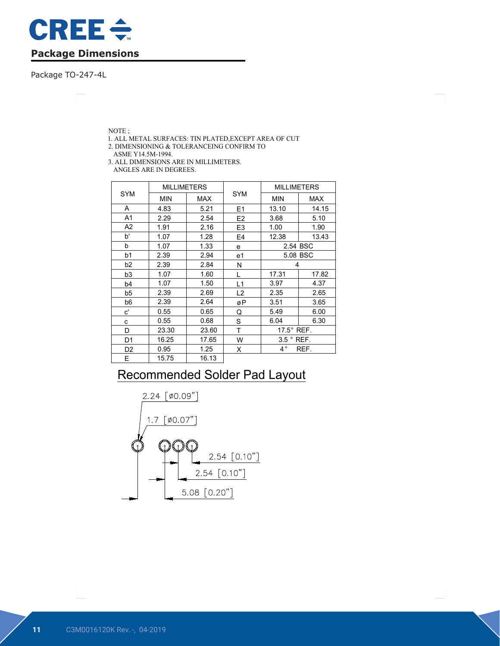

Package TO-247-4L

NOTE ;

- 1. ALL METAL SURFACES: TIN PLATED,EXCEPT AREA OF CUT
- 2. DIMENSIONING & TOLERANCEING CONFIRM TO

ASME Y14.5M-1994.

3. ALL DIMENSIONS ARE IN MILLIMETERS. ANGLES ARE IN DEGREES.

|                | <b>MILLIMETERS</b> |            |                | <b>MILLIMETERS</b>    |            |  |
|----------------|--------------------|------------|----------------|-----------------------|------------|--|
| <b>SYM</b>     | <b>MIN</b>         | <b>MAX</b> | <b>SYM</b>     | <b>MIN</b>            | <b>MAX</b> |  |
| A              | 4.83               | 5.21       | E <sub>1</sub> | 13.10                 | 14.15      |  |
| A1             | 2.29               | 2.54       | E <sub>2</sub> | 3.68                  | 5.10       |  |
| A2             | 1.91               | 2.16       | E <sub>3</sub> | 1.00                  | 1.90       |  |
| b'             | 1.07               | 1.28       | E4             | 12.38                 | 13.43      |  |
| b              | 1.07               | 1.33       | e              | 2.54 BSC              |            |  |
| b1             | 2.39               | 2.94       | e1             | 5.08 BSC              |            |  |
| b <sub>2</sub> | 2.39               | 2.84       | N              | 4                     |            |  |
| b3             | 1.07               | 1.60       | L              | 17.31                 | 17.82      |  |
| b4             | 1.07               | 1.50       | L1             | 3.97                  | 4.37       |  |
| b5             | 2.39               | 2.69       | L <sub>2</sub> | 2.35                  | 2.65       |  |
| b6             | 2.39               | 2.64       | øΡ             | 3.51                  | 3.65       |  |
| c'             | 0.55               | 0.65       | Q              | 5.49                  | 6.00       |  |
| С              | 0.55               | 0.68       | S              | 6.04                  | 6.30       |  |
| D              | 23.30              | 23.60      | Τ              | $17.5^\circ$ REF.     |            |  |
| D1             | 16.25<br>17.65     |            | W              | $3.5$ $^{\circ}$ REF. |            |  |
| D2             | 0.95               | 1.25       | X              | $4^{\circ}$           | REF.       |  |
| E              | 15.75              | 16.13      |                |                       |            |  |

# Recommended Solder Pad Layout